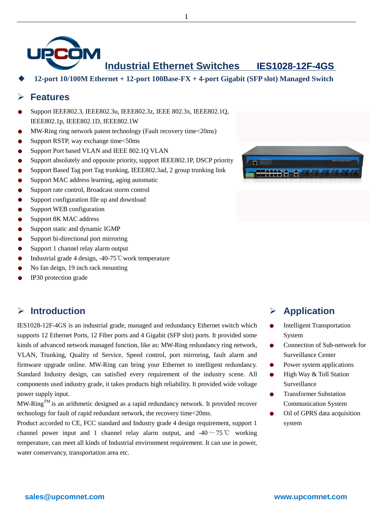

**Industrial Ethernet Switches IES1028-12F-4GS**

**12-port 10/100M Ethernet + 12-port 100Base-FX + 4-port Gigabit (SFP slot) Managed Switch**

1

#### **Features**

- Support IEEE802.3, IEEE802.3u, IEEE802.3z, IEEE 802.3x, IEEE802.1Q, IEEE802.1p, IEEE802.1D, IEEE802.1W
- MW-Ring ring network patent technology (Fault recovery time<20ms)
- Support RSTP, way exchange time<50ms
- Support Port based VLAN and IEEE 802.1Q VLAN ٠
- ٠ Support absolutely and opposite priority, support IEEE802.1P, DSCP priority
- Support Based Tag port Tag trunking, IEEE802.3ad, 2 group trunking link
- Support MAC address learning, aging automatic
- Support rate control, Broadcast storm control
- Support configuration file up and download ٠
- Support WEB configuration
- Support 8K MAC address
- Support static and dynamic IGMP
- Support bi-directional port mirroring
- Support 1 channel relay alarm output ٠
- Industrial grade 4 design, -40-75℃work temperature
- No fan deign, 19 inch rack mounting
- IP30 protection grade

### **Introduction**

IES1028-12F-4GS is an industrial grade, managed and redundancy Ethernet switch which supports 12 Ethernet Ports, 12 Fiber ports and 4 Gigabit (SFP slot) ports. It provided some kinds of advanced network managed function, like as: MW-Ring redundancy ring network, VLAN, Trunking, Quality of Service, Speed control, port mirroring, fault alarm and firmware upgrade online. MW-Ring can bring your Ethernet to intelligent redundancy. Standard Industry design, can satisfied every requirement of the industry scene. All components used industry grade, it takes products high reliability. It provided wide voltage power supply input.

 $MW\text{-}Ring^{\text{TM}}$  is an arithmetic designed as a rapid redundancy network. It provided recover technology for fault of rapid redundant network, the recovery time<20ms.

Product accorded to CE, FCC standard and Industry grade 4 design requirement, support 1 channel power input and 1 channel relay alarm output, and  $-40 \sim 75$ °C working temperature, can meet all kinds of Industrial environment requirement. It can use in power, water conservancy, transportation area etc.



### **Application**

- Intelligent Transportation ۰ System
- Connection of Sub-network for Surveillance Center
- Power system applications
- High Way & Toll Station ٠ Surveillance
- Transformer Substation Communication System
- ٠ Oil of GPRS data acquisition system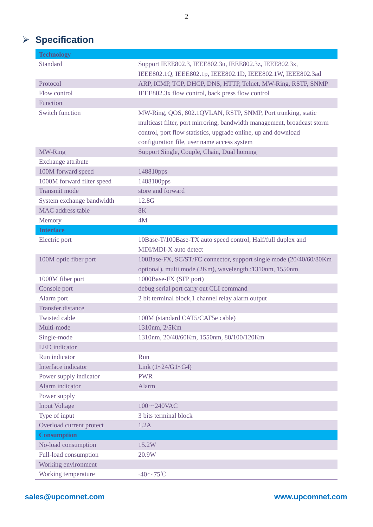# **Specification**

| Technology                 |                                                                         |
|----------------------------|-------------------------------------------------------------------------|
| <b>Standard</b>            | Support IEEE802.3, IEEE802.3u, IEEE802.3z, IEEE802.3x,                  |
|                            | IEEE802.1Q, IEEE802.1p, IEEE802.1D, IEEE802.1W, IEEE802.3ad             |
| Protocol                   | ARP, ICMP, TCP, DHCP, DNS, HTTP, Telnet, MW-Ring, RSTP, SNMP            |
| Flow control               | IEEE802.3x flow control, back press flow control                        |
| Function                   |                                                                         |
| <b>Switch function</b>     | MW-Ring, QOS, 802.1QVLAN, RSTP, SNMP, Port trunking, static             |
|                            | multicast filter, port mirroring, bandwidth management, broadcast storm |
|                            | control, port flow statistics, upgrade online, up and download          |
|                            | configuration file, user name access system                             |
| MW-Ring                    | Support Single, Couple, Chain, Dual homing                              |
| Exchange attribute         |                                                                         |
| 100M forward speed         | 148810pps                                                               |
| 1000M forward filter speed | 1488100pps                                                              |
| Transmit mode              | store and forward                                                       |
| System exchange bandwidth  | 12.8G                                                                   |
| MAC address table          | <b>8K</b>                                                               |
| Memory                     | 4M                                                                      |
| <b>Interface</b>           |                                                                         |
| Electric port              | 10Base-T/100Base-TX auto speed control, Half/full duplex and            |
|                            | MDI/MDI-X auto detect                                                   |
| 100M optic fiber port      | 100Base-FX, SC/ST/FC connector, support single mode (20/40/60/80Km      |
|                            | optional), multi mode (2Km), wavelength :1310nm, 1550nm                 |
| 1000M fiber port           | 1000Base-FX (SFP port)                                                  |
| Console port               | debug serial port carry out CLI command                                 |
| Alarm port                 | 2 bit terminal block, 1 channel relay alarm output                      |
| <b>Transfer distance</b>   |                                                                         |
| <b>Twisted cable</b>       | 100M (standard CAT5/CAT5e cable)                                        |
| Multi-mode                 | 1310nm, 2/5Km                                                           |
| Single-mode                | 1310nm, 20/40/60Km, 1550nm, 80/100/120Km                                |
| <b>LED</b> indicator       |                                                                         |
| Run indicator              | Run                                                                     |
| Interface indicator        | Link $(1 - 24/G1 - G4)$                                                 |
| Power supply indicator     | <b>PWR</b>                                                              |
| Alarm indicator            | Alarm                                                                   |
| Power supply               |                                                                         |
| <b>Input Voltage</b>       | $100 \sim 240$ VAC                                                      |
| Type of input              | 3 bits terminal block                                                   |
| Overload current protect   | 1.2A                                                                    |
| <b>Consumption</b>         |                                                                         |
| No-load consumption        | 15.2W                                                                   |
| Full-load consumption      | 20.9W                                                                   |
| Working environment        |                                                                         |
| Working temperature        | -40 $\sim$ 75°C                                                         |

2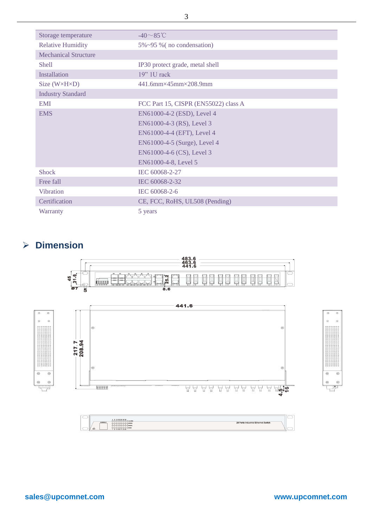| Storage temperature          | $-40 \sim 85^{\circ}$ C              |
|------------------------------|--------------------------------------|
| <b>Relative Humidity</b>     | $5\% \sim 95\%$ (no condensation)    |
| <b>Mechanical Structure</b>  |                                      |
| <b>Shell</b>                 | IP30 protect grade, metal shell      |
| Installation                 | $19"$ 1U rack                        |
| Size $(W \times H \times D)$ | 441.6mm×45mm×208.9mm                 |
| <b>Industry Standard</b>     |                                      |
| <b>EMI</b>                   | FCC Part 15, CISPR (EN55022) class A |
| <b>EMS</b>                   | EN61000-4-2 (ESD), Level 4           |
|                              | EN61000-4-3 (RS), Level 3            |
|                              | EN61000-4-4 (EFT), Level 4           |
|                              | EN61000-4-5 (Surge), Level 4         |
|                              | EN61000-4-6 (CS), Level 3            |
|                              | EN61000-4-8, Level 5                 |
| <b>Shock</b>                 | IEC 60068-2-27                       |
| Free fall                    | IEC 60068-2-32                       |
| Vibration                    | IEC 60068-2-6                        |
| Certification                | CE, FCC, RoHS, UL508 (Pending)       |
| Warranty                     | 5 years                              |

## **Dimension**







3